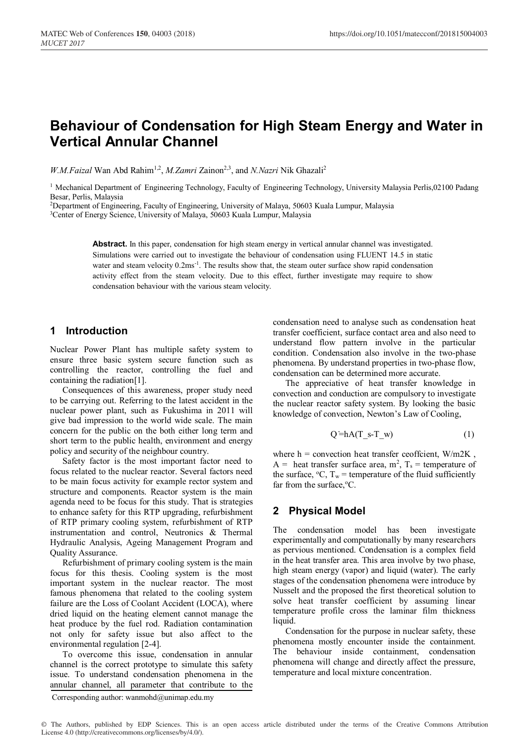# **Behaviour of Condensation for High Steam Energy and Water in Vertical Annular Channel**

*W.M.Faizal* Wan Abd Rahim<sup>1,2</sup>, *M.Zamri Zainon*<sup>2,3</sup>, and *N.Nazri* Nik Ghazali<sup>2</sup>

<sup>1</sup> Mechanical Department of Engineering Technology, Faculty of Engineering Technology, University Malaysia Perlis,02100 Padang Besar, Perlis, Malaysia

2 Department of Engineering, Faculty of Engineering, University of Malaya, 50603 Kuala Lumpur, Malaysia

<sup>3</sup>Center of Energy Science, University of Malaya, 50603 Kuala Lumpur, Malaysia

**Abstract.** In this paper, condensation for high steam energy in vertical annular channel was investigated. Simulations were carried out to investigate the behaviour of condensation using FLUENT 14.5 in static water and steam velocity 0.2ms<sup>-1</sup>. The results show that, the steam outer surface show rapid condensation activity effect from the steam velocity. Due to this effect, further investigate may require to show condensation behaviour with the various steam velocity.

### **1 Introduction**

Nuclear Power Plant has multiple safety system to ensure three basic system secure function such as controlling the reactor, controlling the fuel and containing the radiation[1].

Consequences of this awareness, proper study need to be carrying out. Referring to the latest accident in the nuclear power plant, such as Fukushima in 2011 will give bad impression to the world wide scale. The main concern for the public on the both either long term and short term to the public health, environment and energy policy and security of the neighbour country.

Safety factor is the most important factor need to focus related to the nuclear reactor. Several factors need to be main focus activity for example rector system and structure and components. Reactor system is the main agenda need to be focus for this study. That is strategies to enhance safety for this RTP upgrading, refurbishment of RTP primary cooling system, refurbishment of RTP instrumentation and control, Neutronics & Thermal Hydraulic Analysis, Ageing Management Program and Quality Assurance.

Refurbishment of primary cooling system is the main focus for this thesis. Cooling system is the most important system in the nuclear reactor. The most famous phenomena that related to the cooling system failure are the Loss of Coolant Accident (LOCA), where dried liquid on the heating element cannot manage the heat produce by the fuel rod. Radiation contamination not only for safety issue but also affect to the environmental regulation [2-4].

To overcome this issue, condensation in annular channel is the correct prototype to simulate this safety issue. To understand condensation phenomena in the annular channel, all parameter that contribute to the

condensation need to analyse such as condensation heat transfer coefficient, surface contact area and also need to understand flow pattern involve in the particular condition. Condensation also involve in the two-phase phenomena. By understand properties in two-phase flow, condensation can be determined more accurate.

The appreciative of heat transfer knowledge in convection and conduction are compulsory to investigate the nuclear reactor safety system. By looking the basic knowledge of convection, Newton's Law of Cooling,

$$
Q = hA(T_s - T_w) \tag{1}
$$

where  $h =$  convection heat transfer ceoffcient,  $W/m2K$ , A = heat transfer surface area,  $m^2$ ,  $T_s$  = temperature of the surface,  $\mathrm{C}$ ,  $T_w$  = temperature of the fluid sufficiently far from the surface, °C.

### **2 Physical Model**

The condensation model has been investigate experimentally and computationally by many researchers as pervious mentioned. Condensation is a complex field in the heat transfer area. This area involve by two phase, high steam energy (vapor) and liquid (water). The early stages of the condensation phenomena were introduce by Nusselt and the proposed the first theoretical solution to solve heat transfer coefficient by assuming linear temperature profile cross the laminar film thickness liquid.

Condensation for the purpose in nuclear safety, these phenomena mostly encounter inside the containment. The behaviour inside containment, condensation phenomena will change and directly affect the pressure, temperature and local mixture concentration.

Corresponding author: wanmohd@unimap.edu.my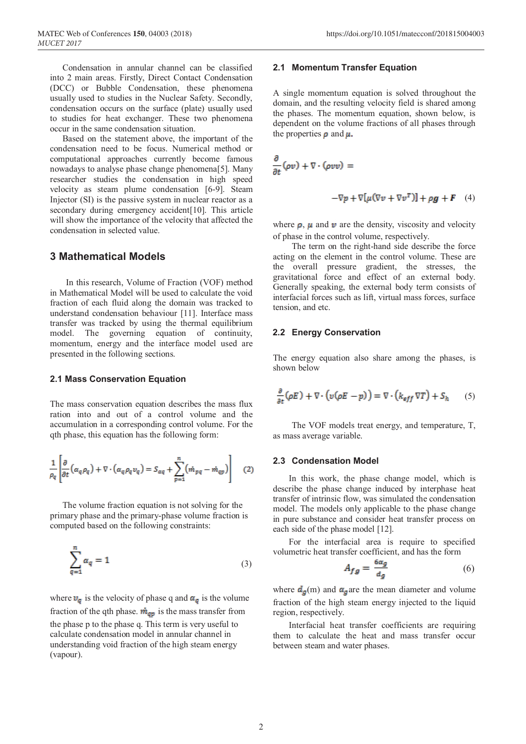Condensation in annular channel can be classified into 2 main areas. Firstly, Direct Contact Condensation (DCC) or Bubble Condensation, these phenomena usually used to studies in the Nuclear Safety. Secondly, condensation occurs on the surface (plate) usually used to studies for heat exchanger. These two phenomena occur in the same condensation situation.

Based on the statement above, the important of the condensation need to be focus. Numerical method or computational approaches currently become famous nowadays to analyse phase change phenomena[5]. Many researcher studies the condensation in high speed velocity as steam plume condensation [6-9]. Steam Injector (SI) is the passive system in nuclear reactor as a secondary during emergency accident [10]. This article will show the importance of the velocity that affected the condensation in selected value.

### **3 Mathematical Models**

In this research, Volume of Fraction (VOF) method in Mathematical Model will be used to calculate the void fraction of each fluid along the domain was tracked to understand condensation behaviour [11]. Interface mass transfer was tracked by using the thermal equilibrium model. The governing equation of continuity, momentum, energy and the interface model used are presented in the following sections.

#### **2.1 Mass Conservation Equation**

The mass conservation equation describes the mass flux ration into and out of a control volume and the accumulation in a corresponding control volume. For the qth phase, this equation has the following form:

$$
\frac{1}{\rho_q} \left[ \frac{\partial}{\partial t} \left( \alpha_q \rho_q \right) + \nabla \cdot \left( \alpha_q \rho_q v_q \right) = S_{\alpha q} + \sum_{p=1}^n \left( \dot{m}_{pq} - \dot{m}_{qp} \right) \right] \tag{2}
$$

The volume fraction equation is not solving for the primary phase and the primary-phase volume fraction is computed based on the following constraints:

$$
\sum_{q=1}^{n} \alpha_q = 1 \tag{3}
$$

where  $v_{\mathbf{q}}$  is the velocity of phase q and  $\alpha_{\mathbf{q}}$  is the volume fraction of the qth phase.  $\mathbf{m}_{qp}$  is the mass transfer from the phase p to the phase q. This term is very useful to calculate condensation model in annular channel in understanding void fraction of the high steam energy (vapour).

#### **2.1 Momentum Transfer Equation**

A single momentum equation is solved throughout the domain, and the resulting velocity field is shared among the phases. The momentum equation, shown below, is dependent on the volume fractions of all phases through the properties  $\rho$  and  $\mu$ .

$$
\frac{\partial}{\partial t}(\rho v)+\nabla\cdot(\rho vv)=
$$

$$
-\nabla p + \nabla[\mu(\nabla v + \nabla v^T)] + \rho g + F \quad (4)
$$

where  $\boldsymbol{p}$ ,  $\boldsymbol{\mu}$  and  $\boldsymbol{\nu}$  are the density, viscosity and velocity of phase in the control volume, respectively.

The term on the right-hand side describe the force acting on the element in the control volume. These are the overall pressure gradient, the stresses, the gravitational force and effect of an external body. Generally speaking, the external body term consists of interfacial forces such as lift, virtual mass forces, surface tension, and etc.

#### **2.2 Energy Conservation**

The energy equation also share among the phases, is shown below

$$
\frac{\partial}{\partial t}(\rho E) + \nabla \cdot \left( v(\rho E - p) \right) = \nabla \cdot \left( k_{eff} \nabla T \right) + S_h \tag{5}
$$

The VOF models treat energy, and temperature, T, as mass average variable.

#### **2.3 Condensation Model**

In this work, the phase change model, which is describe the phase change induced by interphase heat transfer of intrinsic flow, was simulated the condensation model. The models only applicable to the phase change in pure substance and consider heat transfer process on each side of the phase model [12].

For the interfacial area is require to specified volumetric heat transfer coefficient, and has the form

$$
A_{fg} = \frac{6a_g}{d_g} \tag{6}
$$

where  $d_g(m)$  and  $a_g$  are the mean diameter and volume fraction of the high steam energy injected to the liquid region, respectively.

Interfacial heat transfer coefficients are requiring them to calculate the heat and mass transfer occur between steam and water phases.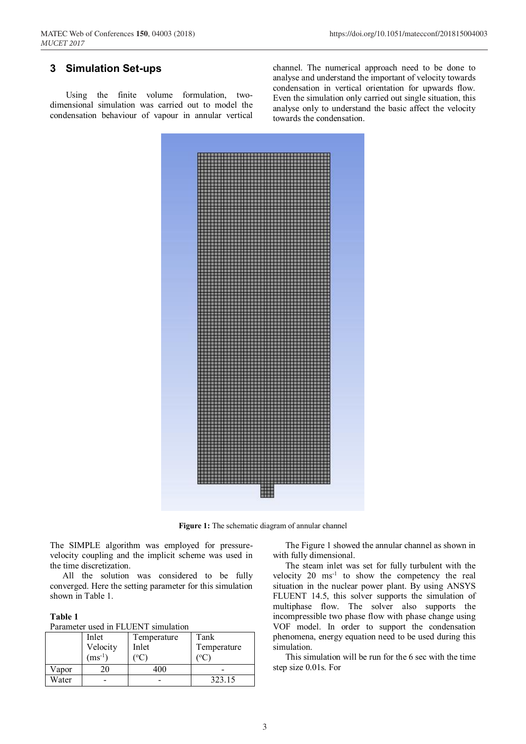# **3 Simulation Set-ups**

Using the finite volume formulation, twodimensional simulation was carried out to model the condensation behaviour of vapour in annular vertical channel. The numerical approach need to be done to analyse and understand the important of velocity towards condensation in vertical orientation for upwards flow. Even the simulation only carried out single situation, this analyse only to understand the basic affect the velocity towards the condensation.



**Figure 1:** The schematic diagram of annular channel

The SIMPLE algorithm was employed for pressurevelocity coupling and the implicit scheme was used in the time discretization.

All the solution was considered to be fully converged. Here the setting parameter for this simulation shown in Table 1.

#### **Table 1**

|  | Parameter used in FLUENT simulation |
|--|-------------------------------------|
|  |                                     |

|       | Inlet       | Temperature | Tank        |
|-------|-------------|-------------|-------------|
|       | Velocity    | Inlet       | Temperature |
|       | $(ms^{-1})$ |             |             |
| Vapor |             | 400         |             |
| Water |             |             | 323.15      |

The Figure 1 showed the annular channel as shown in with fully dimensional.

The steam inlet was set for fully turbulent with the velocity 20 ms<sup>-1</sup> to show the competency the real situation in the nuclear power plant. By using ANSYS FLUENT 14.5, this solver supports the simulation of multiphase flow. The solver also supports the incompressible two phase flow with phase change using VOF model. In order to support the condensation phenomena, energy equation need to be used during this simulation.

This simulation will be run for the 6 sec with the time step size 0.01s. For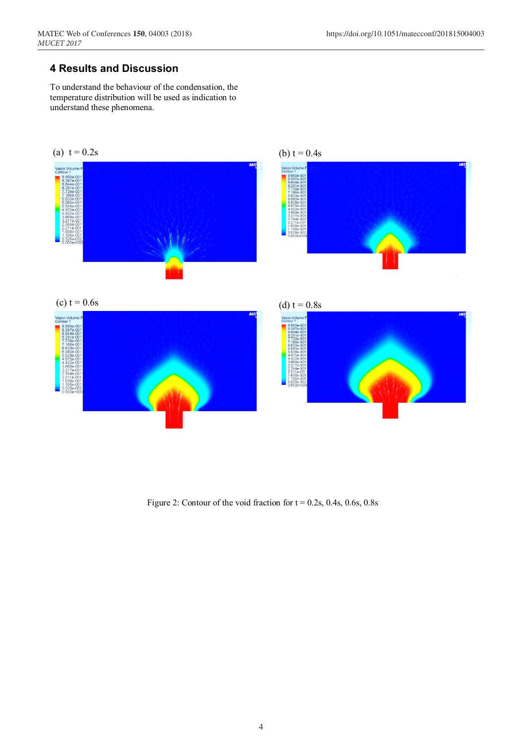# **4 Results and Discussion**

To understand the behaviour of the condensation, the temperature distribution will be used as indication to understand these phenomena.



Figure 2: Contour of the void fraction for  $t = 0.2$ s, 0.4s, 0.6s, 0.8s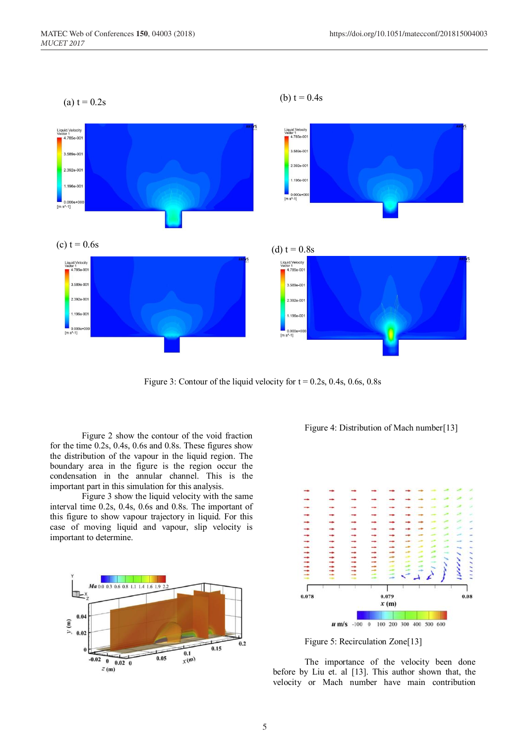

Figure 3: Contour of the liquid velocity for  $t = 0.2$ s, 0.4s, 0.6s, 0.8s

Figure 2 show the contour of the void fraction for the time 0.2s, 0.4s, 0.6s and 0.8s. These figures show the distribution of the vapour in the liquid region. The boundary area in the figure is the region occur the condensation in the annular channel. This is the important part in this simulation for this analysis.

Figure 3 show the liquid velocity with the same interval time 0.2s, 0.4s, 0.6s and 0.8s. The important of this figure to show vapour trajectory in liquid. For this case of moving liquid and vapour, slip velocity is important to determine.







Figure 5: Recirculation Zone[13]

The importance of the velocity been done before by Liu et. al [13]. This author shown that, the velocity or Mach number have main contribution